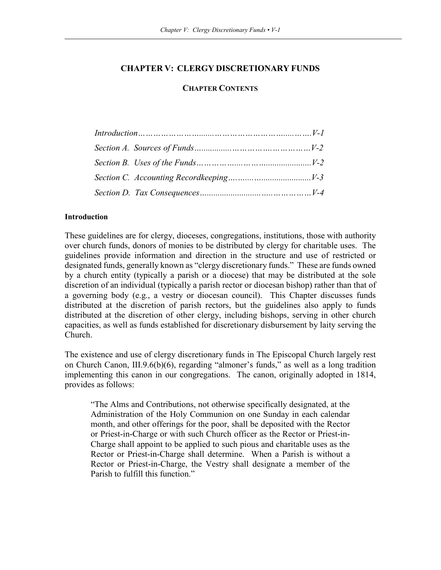# **CHAPTER V: CLERGY DISCRETIONARY FUNDS**

# **CHAPTER CONTENTS**

## **Introduction**

These guidelines are for clergy, dioceses, congregations, institutions, those with authority over church funds, donors of monies to be distributed by clergy for charitable uses. The guidelines provide information and direction in the structure and use of restricted or designated funds, generally known as "clergy discretionary funds." These are funds owned by a church entity (typically a parish or a diocese) that may be distributed at the sole discretion of an individual (typically a parish rector or diocesan bishop) rather than that of a governing body (e.g., a vestry or diocesan council). This Chapter discusses funds distributed at the discretion of parish rectors, but the guidelines also apply to funds distributed at the discretion of other clergy, including bishops, serving in other church capacities, as well as funds established for discretionary disbursement by laity serving the Church.

The existence and use of clergy discretionary funds in The Episcopal Church largely rest on Church Canon, III.9.6(b)(6), regarding "almoner's funds," as well as a long tradition implementing this canon in our congregations. The canon, originally adopted in 1814, provides as follows:

"The Alms and Contributions, not otherwise specifically designated, at the Administration of the Holy Communion on one Sunday in each calendar month, and other offerings for the poor, shall be deposited with the Rector or Priest-in-Charge or with such Church officer as the Rector or Priest-in-Charge shall appoint to be applied to such pious and charitable uses as the Rector or Priest-in-Charge shall determine. When a Parish is without a Rector or Priest-in-Charge, the Vestry shall designate a member of the Parish to fulfill this function."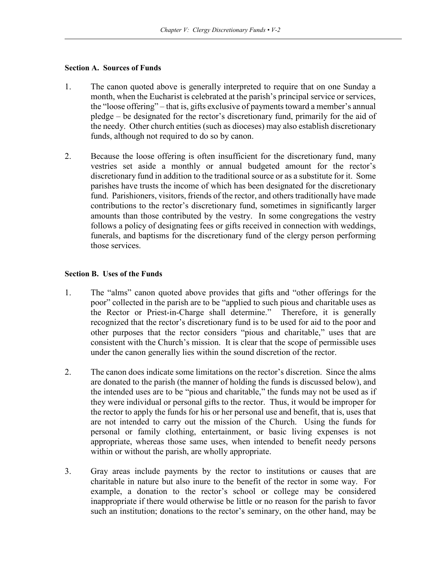#### **Section A. Sources of Funds**

- 1. The canon quoted above is generally interpreted to require that on one Sunday a month, when the Eucharist is celebrated at the parish's principal service or services, the "loose offering" – that is, gifts exclusive of payments toward a member's annual pledge – be designated for the rector's discretionary fund, primarily for the aid of the needy. Other church entities (such as dioceses) may also establish discretionary funds, although not required to do so by canon.
- 2. Because the loose offering is often insufficient for the discretionary fund, many vestries set aside a monthly or annual budgeted amount for the rector's discretionary fund in addition to the traditional source or as a substitute for it. Some parishes have trusts the income of which has been designated for the discretionary fund. Parishioners, visitors, friends of the rector, and others traditionally have made contributions to the rector's discretionary fund, sometimes in significantly larger amounts than those contributed by the vestry. In some congregations the vestry follows a policy of designating fees or gifts received in connection with weddings, funerals, and baptisms for the discretionary fund of the clergy person performing those services.

## **Section B. Uses of the Funds**

- 1. The "alms" canon quoted above provides that gifts and "other offerings for the poor" collected in the parish are to be "applied to such pious and charitable uses as the Rector or Priest-in-Charge shall determine." Therefore, it is generally recognized that the rector's discretionary fund is to be used for aid to the poor and other purposes that the rector considers "pious and charitable," uses that are consistent with the Church's mission. It is clear that the scope of permissible uses under the canon generally lies within the sound discretion of the rector.
- 2. The canon does indicate some limitations on the rector's discretion. Since the alms are donated to the parish (the manner of holding the funds is discussed below), and the intended uses are to be "pious and charitable," the funds may not be used as if they were individual or personal gifts to the rector. Thus, it would be improper for the rector to apply the funds for his or her personal use and benefit, that is, uses that are not intended to carry out the mission of the Church. Using the funds for personal or family clothing, entertainment, or basic living expenses is not appropriate, whereas those same uses, when intended to benefit needy persons within or without the parish, are wholly appropriate.
- 3. Gray areas include payments by the rector to institutions or causes that are charitable in nature but also inure to the benefit of the rector in some way. For example, a donation to the rector's school or college may be considered inappropriate if there would otherwise be little or no reason for the parish to favor such an institution; donations to the rector's seminary, on the other hand, may be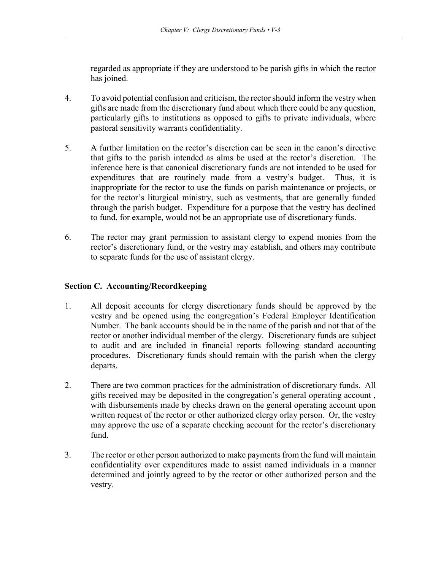regarded as appropriate if they are understood to be parish gifts in which the rector has joined.

- 4. To avoid potential confusion and criticism, the rectorshould inform the vestry when gifts are made from the discretionary fund about which there could be any question, particularly gifts to institutions as opposed to gifts to private individuals, where pastoral sensitivity warrants confidentiality.
- 5. A further limitation on the rector's discretion can be seen in the canon's directive that gifts to the parish intended as alms be used at the rector's discretion. The inference here is that canonical discretionary funds are not intended to be used for expenditures that are routinely made from a vestry's budget. Thus, it is inappropriate for the rector to use the funds on parish maintenance or projects, or for the rector's liturgical ministry, such as vestments, that are generally funded through the parish budget. Expenditure for a purpose that the vestry has declined to fund, for example, would not be an appropriate use of discretionary funds.
- 6. The rector may grant permission to assistant clergy to expend monies from the rector's discretionary fund, or the vestry may establish, and others may contribute to separate funds for the use of assistant clergy.

## **Section C. Accounting/Recordkeeping**

- 1. All deposit accounts for clergy discretionary funds should be approved by the vestry and be opened using the congregation's Federal Employer Identification Number. The bank accounts should be in the name of the parish and not that of the rector or another individual member of the clergy. Discretionary funds are subject to audit and are included in financial reports following standard accounting procedures. Discretionary funds should remain with the parish when the clergy departs.
- 2. There are two common practices for the administration of discretionary funds. All gifts received may be deposited in the congregation's general operating account , with disbursements made by checks drawn on the general operating account upon written request of the rector or other authorized clergy orlay person. Or, the vestry may approve the use of a separate checking account for the rector's discretionary fund.
- 3. The rector or other person authorized to make payments from the fund will maintain confidentiality over expenditures made to assist named individuals in a manner determined and jointly agreed to by the rector or other authorized person and the vestry.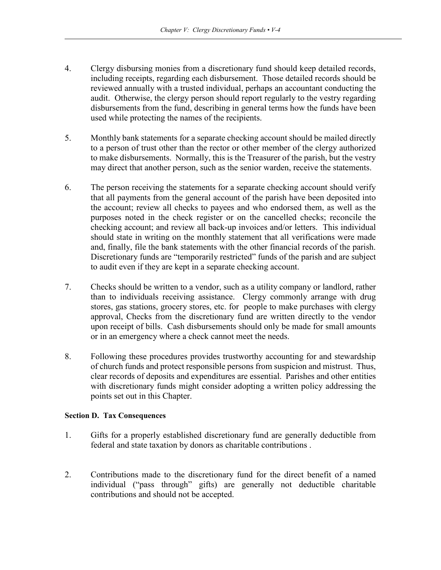- 4. Clergy disbursing monies from a discretionary fund should keep detailed records, including receipts, regarding each disbursement.Those detailed records should be reviewed annually with a trusted individual, perhaps an accountant conducting the audit. Otherwise, the clergy person should report regularly to the vestry regarding disbursements from the fund, describing in general terms how the funds have been used while protecting the names of the recipients.
- 5. Monthly bank statements for a separate checking account should be mailed directly to a person of trust other than the rector or other member of the clergy authorized to make disbursements. Normally, this is the Treasurer of the parish, but the vestry may direct that another person, such as the senior warden, receive the statements.
- 6. The person receiving the statements for a separate checking account should verify that all payments from the general account of the parish have been deposited into the account; review all checks to payees and who endorsed them, as well as the purposes noted in the check register or on the cancelled checks; reconcile the checking account; and review all back-up invoices and/or letters. This individual should state in writing on the monthly statement that all verifications were made and, finally, file the bank statements with the other financial records of the parish. Discretionary funds are "temporarily restricted" funds of the parish and are subject to audit even if they are kept in a separate checking account.
- 7. Checks should be written to a vendor, such as a utility company or landlord, rather than to individuals receiving assistance. Clergy commonly arrange with drug stores, gas stations, grocery stores, etc. for people to make purchases with clergy approval, Checks from the discretionary fund are written directly to the vendor upon receipt of bills. Cash disbursements should only be made for small amounts or in an emergency where a check cannot meet the needs.
- 8. Following these procedures provides trustworthy accounting for and stewardship of church funds and protect responsible persons from suspicion and mistrust. Thus, clear records of deposits and expenditures are essential. Parishes and other entities with discretionary funds might consider adopting a written policy addressing the points set out in this Chapter.

## **Section D. Tax Consequences**

- 1. Gifts for a properly established discretionary fund are generally deductible from federal and state taxation by donors as charitable contributions .
- 2. Contributions made to the discretionary fund for the direct benefit of a named individual ("pass through" gifts) are generally not deductible charitable contributions and should not be accepted.